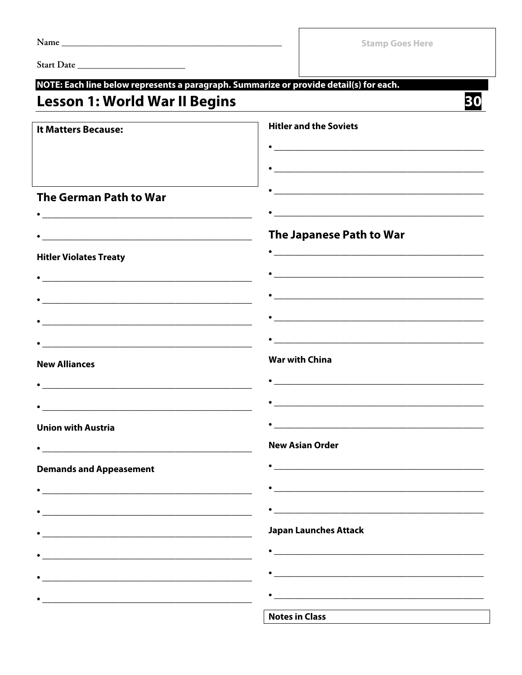|                                                                                                                           | <b>Stamp Goes Here</b>                                                                                                                                                                                                             |
|---------------------------------------------------------------------------------------------------------------------------|------------------------------------------------------------------------------------------------------------------------------------------------------------------------------------------------------------------------------------|
|                                                                                                                           |                                                                                                                                                                                                                                    |
|                                                                                                                           | NOTE: Each line below represents a paragraph. Summarize or provide detail(s) for each.                                                                                                                                             |
| <b>Lesson 1: World War II Begins</b>                                                                                      | 30                                                                                                                                                                                                                                 |
| <b>It Matters Because:</b>                                                                                                | <b>Hitler and the Soviets</b>                                                                                                                                                                                                      |
|                                                                                                                           |                                                                                                                                                                                                                                    |
|                                                                                                                           |                                                                                                                                                                                                                                    |
| <b>The German Path to War</b>                                                                                             | <u> 1989 - Johann John Stone, mars eta biztanleria (h. 1982).</u>                                                                                                                                                                  |
|                                                                                                                           |                                                                                                                                                                                                                                    |
| <u> 1980 - Johann Barn, mars ann an t-Amhain an t-Amhain an t-Amhain an t-Amhain an t-Amhain an t-Amhain an t-Amh</u>     | The Japanese Path to War                                                                                                                                                                                                           |
| <b>Hitler Violates Treaty</b>                                                                                             | $\bullet$ . The contract of the contract of the contract of the contract of the contract of the contract of the contract of the contract of the contract of the contract of the contract of the contract of the contract of the co |
| <u> 2000 - Jan James James Jan James James James James James James James James James James James James James James Ja</u> |                                                                                                                                                                                                                                    |
| <u> 1989 - Jan James James James James James James James James James James James James James James James James J</u>      |                                                                                                                                                                                                                                    |
|                                                                                                                           |                                                                                                                                                                                                                                    |
|                                                                                                                           |                                                                                                                                                                                                                                    |
| <b>New Alliances</b>                                                                                                      | <b>War with China</b>                                                                                                                                                                                                              |
| <u> 1989 - Johann Barn, mars ann an t-Amhain an t-Amhain an t-Amhain an t-Amhain an t-Amhain an t-Amhain an t-Amh</u>     | <u> 2002 - Jan James James Jan James James James James James James James James James James James James James Jam</u>                                                                                                               |
|                                                                                                                           |                                                                                                                                                                                                                                    |
| <b>Union with Austria</b>                                                                                                 |                                                                                                                                                                                                                                    |
| <u> 1980 - Johann John Stone, markin fizik eta idazlearia (h. 1980).</u>                                                  | <b>New Asian Order</b>                                                                                                                                                                                                             |
| <b>Demands and Appeasement</b>                                                                                            | <u> 1989 - Johann Barbara, martin amerikan basal dan berasal dalam basal dalam basal dalam basal dalam basal dala</u>                                                                                                              |
|                                                                                                                           |                                                                                                                                                                                                                                    |
|                                                                                                                           |                                                                                                                                                                                                                                    |
| <u> 1989 - Johann Stoff, deutscher Stoff, der Stoff, der Stoff, der Stoff, der Stoff, der Stoff, der Stoff, der S</u>     | <b>Japan Launches Attack</b>                                                                                                                                                                                                       |
| <u> 1989 - Johann Harry Harry Harry Harry Harry Harry Harry Harry Harry Harry Harry Harry Harry Harry Harry Harry</u>     |                                                                                                                                                                                                                                    |
|                                                                                                                           |                                                                                                                                                                                                                                    |
| <u> 1980 - Johann John Stone, markin fizik eta idazlearia (h. 1980).</u>                                                  |                                                                                                                                                                                                                                    |
|                                                                                                                           | <b>Notes in Class</b>                                                                                                                                                                                                              |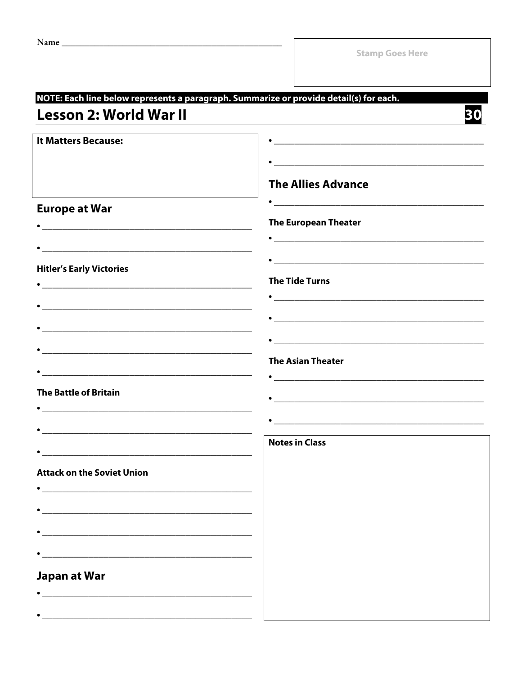| <b>Lesson 2: World War II</b>                                                                                                                                                                                                                                                                                                                                        | NOTE: Each line below represents a paragraph. Summarize or provide detail(s) for each.                                                                                                                                                                                                                                                                       |
|----------------------------------------------------------------------------------------------------------------------------------------------------------------------------------------------------------------------------------------------------------------------------------------------------------------------------------------------------------------------|--------------------------------------------------------------------------------------------------------------------------------------------------------------------------------------------------------------------------------------------------------------------------------------------------------------------------------------------------------------|
| It Matters Because:                                                                                                                                                                                                                                                                                                                                                  | <b>The Allies Advance</b>                                                                                                                                                                                                                                                                                                                                    |
| <b>Europe at War</b>                                                                                                                                                                                                                                                                                                                                                 | <u> 1980 - Johann John Stone, mars eta biztanleria (h. 1980).</u><br><b>The European Theater</b>                                                                                                                                                                                                                                                             |
| <b>Hitler's Early Victories</b><br><u> Louis Communication de la communication de la communication de la communication de la communication de la com</u><br><u> 1980 - Johann Barn, mars ann an t-Amhain an t-Amhain an t-Amhain an t-Amhain an t-Amhain an t-Amhain an t-Amh</u>                                                                                    | $\bullet$<br><b>The Tide Turns</b>                                                                                                                                                                                                                                                                                                                           |
| <u> 1989 - Johann John Stone, markin film yn y brenin y brenin y brenin y brenin y brenin y brenin y brenin y br</u>                                                                                                                                                                                                                                                 | <b>The Asian Theater</b>                                                                                                                                                                                                                                                                                                                                     |
| <b>The Battle of Britain</b><br><u> 1980 - Johann Barn, amerikan besteman besteman besteman besteman besteman besteman besteman besteman bestema</u>                                                                                                                                                                                                                 | $\bullet$ . The contract of the contract of the contract of the contract of the contract of the contract of the contract of the contract of the contract of the contract of the contract of the contract of the contract of the co<br><u> 1989 - Johann Barn, mars ann an t-Amhain an t-Amhain ann an t-Amhain an t-Amhain an t-Amhain an t-Amhain an t-</u> |
| <b>Attack on the Soviet Union</b>                                                                                                                                                                                                                                                                                                                                    | <b>Notes in Class</b>                                                                                                                                                                                                                                                                                                                                        |
| <u> 1980 - Jan Stein Stein Stein Stein Stein Stein Stein Stein Stein Stein Stein Stein Stein Stein Stein Stein S</u><br><u> 1989 - Johann Barn, amerikan berkema dalam penyanyi dan berkema dalam pengaran berkema dalam pengaran dalam </u><br><u> 1980 - Johann Barn, amerikan besteman besteman besteman besteman besteman besteman besteman besteman bestema</u> |                                                                                                                                                                                                                                                                                                                                                              |
| <u> 1989 - Johann Barbara, martxa alemaniar argumento este alemaniar alemaniar alemaniar alemaniar alemaniar al</u><br>Japan at War<br><u> 1989 - Johann Stoff, amerikansk politiker (* 1908)</u>                                                                                                                                                                    |                                                                                                                                                                                                                                                                                                                                                              |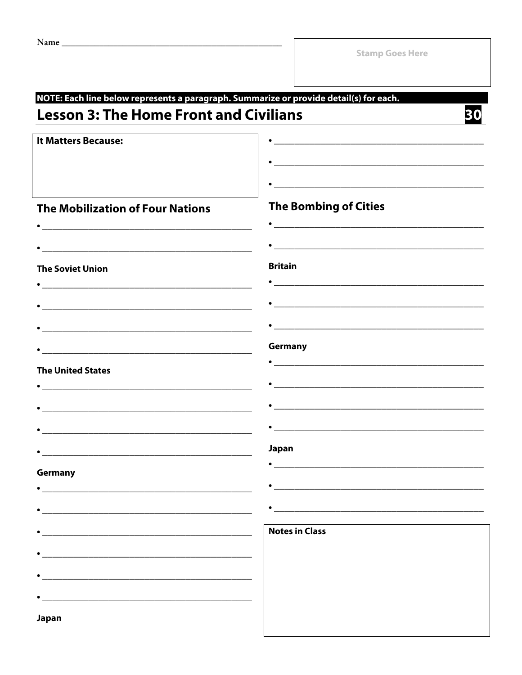| NOTE: Each line below represents a paragraph. Summarize or provide detail(s) for each.                                |                                                                                                                      |  |  |
|-----------------------------------------------------------------------------------------------------------------------|----------------------------------------------------------------------------------------------------------------------|--|--|
| <b>Lesson 3: The Home Front and Civilians</b>                                                                         |                                                                                                                      |  |  |
| <b>It Matters Because:</b>                                                                                            |                                                                                                                      |  |  |
|                                                                                                                       |                                                                                                                      |  |  |
|                                                                                                                       |                                                                                                                      |  |  |
|                                                                                                                       |                                                                                                                      |  |  |
| <b>The Mobilization of Four Nations</b>                                                                               | <b>The Bombing of Cities</b>                                                                                         |  |  |
|                                                                                                                       |                                                                                                                      |  |  |
|                                                                                                                       | <u> 2000 - 2000 - 2000 - 2000 - 2000 - 2000 - 2000 - 2000 - 2000 - 2000 - 2000 - 2000 - 2000 - 2000 - 2000 - 200</u> |  |  |
| <b>The Soviet Union</b>                                                                                               | <b>Britain</b>                                                                                                       |  |  |
|                                                                                                                       |                                                                                                                      |  |  |
|                                                                                                                       | <u> 2000 - Antonio Alemania, prima postala de la contrada de la contrada de la contrada de la contrada de la con</u> |  |  |
|                                                                                                                       |                                                                                                                      |  |  |
|                                                                                                                       | Germany                                                                                                              |  |  |
| <b>The United States</b>                                                                                              |                                                                                                                      |  |  |
|                                                                                                                       | <u> 2000 - 2000 - 2000 - 2000 - 2000 - 2000 - 2000 - 2000 - 2000 - 2000 - 2000 - 2000 - 2000 - 2000 - 2000 - 200</u> |  |  |
|                                                                                                                       |                                                                                                                      |  |  |
|                                                                                                                       | <u> 1989 - Johann John Stone, mars et al. 1989 - John Stone, mars et al. 1989 - John Stone, mars et al. 1989 - J</u> |  |  |
|                                                                                                                       | Japan                                                                                                                |  |  |
|                                                                                                                       |                                                                                                                      |  |  |
| Germany                                                                                                               |                                                                                                                      |  |  |
|                                                                                                                       |                                                                                                                      |  |  |
|                                                                                                                       |                                                                                                                      |  |  |
|                                                                                                                       | <b>Notes in Class</b>                                                                                                |  |  |
| <u> 1989 - Johann John Stoff, deutscher Stoffen und der Stoffen und der Stoffen und der Stoffen und der Stoffen u</u> |                                                                                                                      |  |  |
| <u> 1989 - Johann Stoff, deutscher Stoff, der Stoff, der Stoff, der Stoff, der Stoff, der Stoff, der Stoff, der S</u> |                                                                                                                      |  |  |
|                                                                                                                       |                                                                                                                      |  |  |
| Japan                                                                                                                 |                                                                                                                      |  |  |
|                                                                                                                       |                                                                                                                      |  |  |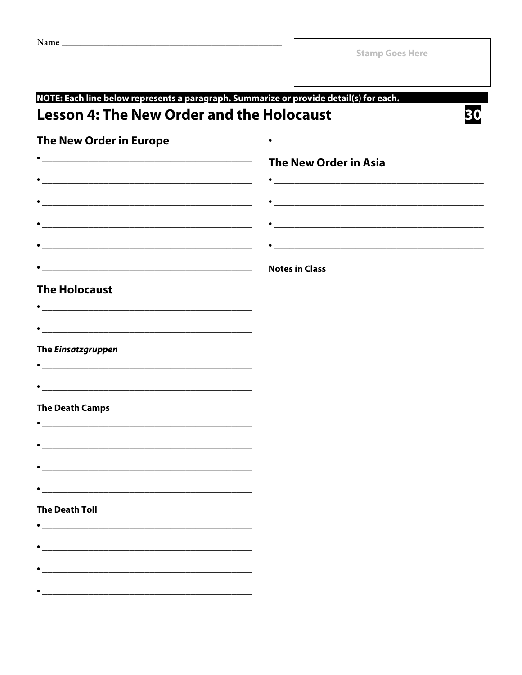| NOTE: Each line below represents a paragraph. Summarize or provide detail(s) for each.                               |                              |  |  |  |
|----------------------------------------------------------------------------------------------------------------------|------------------------------|--|--|--|
| <b>Lesson 4: The New Order and the Holocaust</b>                                                                     |                              |  |  |  |
| The New Order in Europe                                                                                              |                              |  |  |  |
|                                                                                                                      | <b>The New Order in Asia</b> |  |  |  |
|                                                                                                                      |                              |  |  |  |
| <u> 2000 - Jan James James Jan James James Jan James James Jan James James Jan Jan James James Jan Jan Jan Jan J</u> |                              |  |  |  |
| <u> 2000 - 2000 - 2000 - 2000 - 2000 - 2000 - 2000 - 2000 - 2000 - 2000 - 2000 - 2000 - 2000 - 2000 - 2000 - 200</u> |                              |  |  |  |
|                                                                                                                      |                              |  |  |  |
|                                                                                                                      | <b>Notes in Class</b>        |  |  |  |
| <b>The Holocaust</b>                                                                                                 |                              |  |  |  |
|                                                                                                                      |                              |  |  |  |
| <u> 2002 - Jan James James James James James James James James James James James James James James James James J</u> |                              |  |  |  |
| The Einsatzgruppen                                                                                                   |                              |  |  |  |
|                                                                                                                      |                              |  |  |  |
| <u> 2000 - 2000 - 2000 - 2000 - 2000 - 2000 - 2000 - 2000 - 2000 - 2000 - 2000 - 2000 - 2000 - 2000 - 2000 - 200</u> |                              |  |  |  |
| <b>The Death Camps</b><br><u> 1980 - Johann Barn, fransk politik (d. 1980)</u>                                       |                              |  |  |  |
|                                                                                                                      |                              |  |  |  |
|                                                                                                                      |                              |  |  |  |
|                                                                                                                      |                              |  |  |  |
| <b>The Death Toll</b>                                                                                                |                              |  |  |  |
|                                                                                                                      |                              |  |  |  |
|                                                                                                                      |                              |  |  |  |
|                                                                                                                      |                              |  |  |  |
|                                                                                                                      |                              |  |  |  |